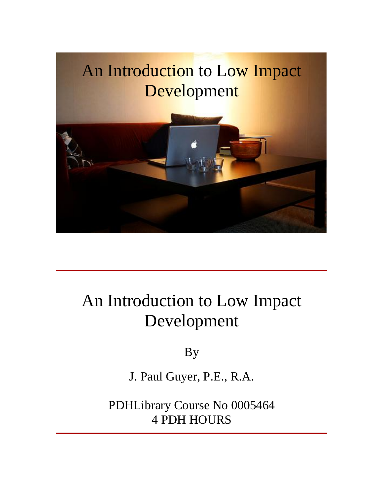

# An Introduction to Low Impact Development

By

J. Paul Guyer, P.E., R.A.

PDHLibrary Course No 0005464 4 PDH HOURS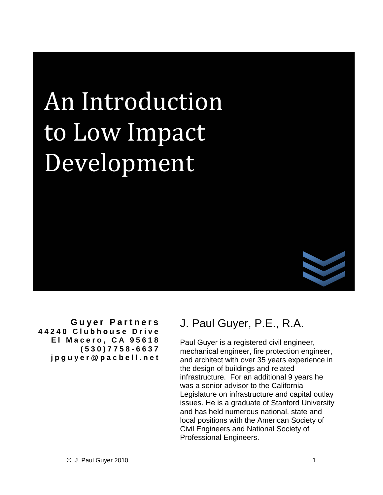# **Introduction Lature 19**<br>Low Impact Development



**G u ye r P ar t n e r s 4 4 2 4 0 C l u b h o u s e D r i v e E l M a c e r o ,C A 9 5 6 1 8 ( 5 3 0 ) 7 7 5 8 - 6 6 3 7 j p g u y e r [@p](mailto:jpguyer@pacbell.net) a c b e l l .n e t**

### J. Paul Guyer, P.E., R.A.

Paul Guyer is a registered civil engineer, mechanical engineer, fire protection engineer, and architect with over 35 years experience in the design of buildings and related infrastructure. For an additional 9 years he was a senior advisor to the California Legislature on infrastructure and capital outlay issues. He is a graduate of Stanford University and has held numerous national, state and local positions with the American Society of Civil Engineers and National Society of Professional Engineers.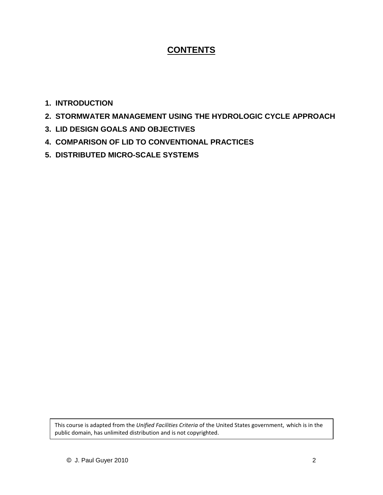#### **CONTENTS**

- **1. INTRODUCTION**
- **2. STORMWATER MANAGEMENT USING THE HYDROLOGIC CYCLE APPROACH**
- **3. LID DESIGN GOALS AND OBJECTIVES**
- **4. COMPARISON OF LID TO CONVENTIONAL PRACTICES**
- **5. DISTRIBUTED MICRO-SCALE SYSTEMS**

 course isadapted from the *Unified Facilities Criteria* of the United States government, which is in the urse is adapted from the *Unified Facilities Criteria* of the U<br>domain, has unlimited distribution and is not copyrighted.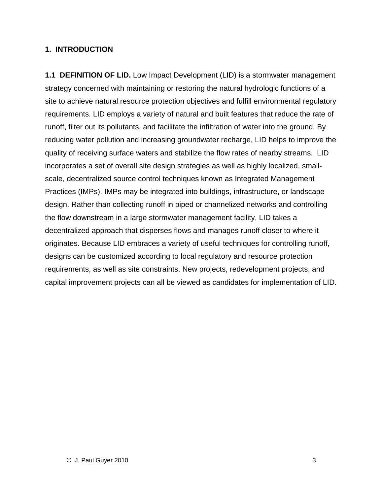#### **1. INTRODUCTION**

**1.1 DEFINITION OF LID.** Low Impact Development (LID) is a stormwater management strategy concerned with maintaining or restoring the natural hydrologic functions of a site to achieve natural resource protection objectives and fulfill environmental regulatory requirements. LID employs a variety of natural and built features that reduce the rate of runoff, filter out its pollutants, and facilitate the infiltration of water into the ground. By reducing water pollution and increasing groundwater recharge, LID helps to improve the quality of receiving surface waters and stabilize the flow rates of nearby streams. LID incorporates a set of overall site design strategies as well as highly localized, small scale, decentralized source control techniques known as Integrated Management Practices (IMPs). IMPs may be integrated into buildings, infrastructure, or landscape design. Rather than collecting runoff in piped or channelized networks and controlling the flow downstream in a large stormwater management facility, LID takes a decentralized approach that disperses flows and manages runoff closer to where it originates. Because LID embraces a variety of useful techniques for controlling runoff, designs can be customized according to local regulatory and resource protection requirements, as well as site constraints. New projects, redevelopment projects, and capital improvement projects can all be viewed as candidates for implementation of LID.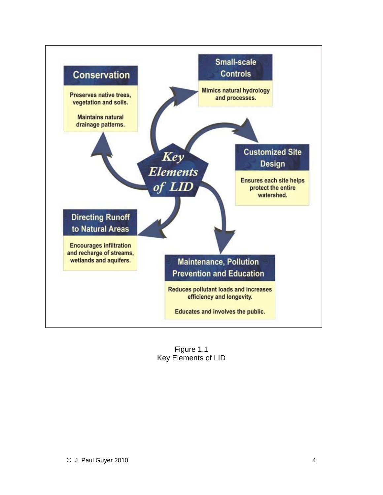

Figure 1.1 Key Elements of LID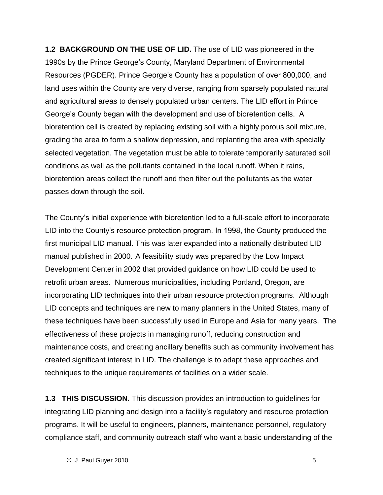**1.2 BACKGROUND ON THE USE OF LID.** The use of LID was pioneered in the 1.2 BACKGROUND ON THE USE OF LID. The use of LID was pioneered in the<br>1990s by the Prince George's County, Maryland Department of Environmental 1990s by the Prince George's County, Maryland Department of Environmental<br>Resources (PGDER). Prince George's County has a population of over 800,000, and land uses within the County are very diverse, ranging from sparsely populated natural and agricultural areas to densely populated urban centers. The LID effort in Prince George's County began with the development and use of bioretention cells. A<br>George's County began with the development and use of bioretention cells. A bioretention cell is created by replacing existing soil with a highly porous soil mixture, grading the area to form a shallow depression, and replanting the area with specially selected vegetation. The vegetation must be able to tolerate temporarily saturated soil conditions as well as the pollutants contained in the local runoff. When it rains, bioretention areas collect the runoff and then filter out the pollutants as the water

passes down through the soil.<br>The County's initial experience with bioretention led to a full-scale effort to incorporate The County's initial experience with bioretention led to a full-scale effort to incorporate<br>LID into the County's resource protection program. In 1998, the County produced the first municipal LID manual. This was later expanded into a nationally distributed LID manual published in 2000. A feasibility study was prepared by the Low Impact Development Center in 2002 that provided guidance on how LID could be used to retrofit urban areas. Numerous municipalities, including Portland, Oregon, are incorporating LID techniques into their urban resource protection programs. Although LID concepts and techniques are new to many planners in the United States, many of these techniques have been successfully used in Europe and Asia for many years. The effectiveness of these projects in managing runoff, reducing construction and maintenance costs, and creating ancillary benefits such as community involvement has created significant interest in LID. The challenge is to adapt these approaches and techniques to the unique requirements of facilities on a wider scale.

**1.3 THIS DISCUSSION.** This discussion provides an introduction to guidelines for integrating LID planning and design into a facility's regulatory and resource protection programs. It will be useful to engineers, planners, maintenance personnel, regulatory compliance staff, and community outreach staff who want a basic understanding of the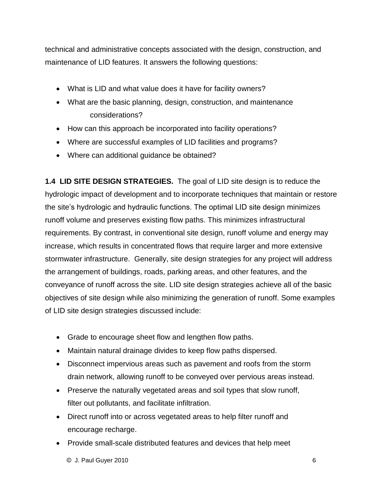technical and administrative concepts associated with the design, construction, and maintenance of LID features. It answers the following questions:

- What is LID and what value does it have for facility owners?
- What are the basic planning, design, construction, and maintenance considerations?
- How can this approach be incorporated into facility operations?
- Where are successful examples of LID facilities and programs?
- Where can additional guidance be obtained?

**1.4 LID SITE DESIGN STRATEGIES.** The goal of LID site design is to reduce the hydrologic impact of development and to incorporate techniques that maintain or restore the site's hydrologic and hydraulic functions. The optimal LID site design minimizes runoff volume and preserves existing flow paths. This minimizes infrastructural requirements. By contrast, in conventional site design, runoff volume and energy may increase, which results in concentrated flows that require larger and more extensive stormwater infrastructure. Generally, site design strategies for any project will address the arrangement of buildings, roads, parking areas, and other features, and the conveyance of runoff across the site. LID site design strategies achieve all of the basic objectives of site design while also minimizing the generation of runoff. Some examples of LID site design strategies discussed include:

- Grade to encourage sheet flow and lengthen flow paths.
- Maintain natural drainage divides to keep flow paths dispersed.
- Disconnect impervious areas such as pavement and roofs from the storm drain network, allowing runoff to be conveyed over pervious areas instead.
- Preserve the naturally vegetated areas and soil types that slow runoff, filter out pollutants, and facilitate infiltration.
- Direct runoff into or across vegetated areas to help filter runoff and encourage recharge.
- Provide small-scale distributed features and devices that help meet
	- $\bullet$  J. Paul Guyer 2010  $\bullet$  6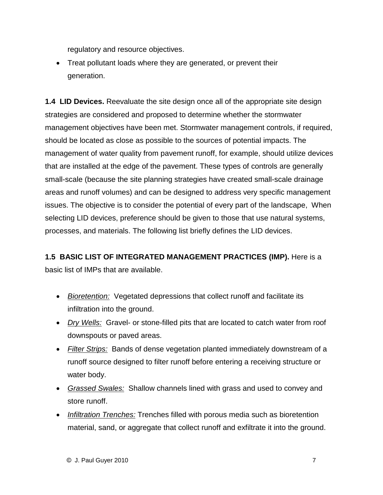regulatory and resource objectives.

 Treat pollutant loads where they are generated, or prevent their generation.

**1.4 LID Devices.** Reevaluate the site design once all of the appropriate site design strategies are considered and proposed to determine whether the stormwater management objectives have been met. Stormwater management controls, if required, should be located as close as possible to the sources of potential impacts. The management of water quality from pavement runoff, for example, should utilize devices that are installed at the edge of the pavement. These types of controls are generally small-scale (because the site planning strategies have created small-scale drainage areas and runoff volumes) and can be designed to address very specific management issues. The objective is to consider the potential of every part of the landscape, When selecting LID devices, preference should be given to those that use natural systems, processes, and materials. The following list briefly defines the LID devices.

**1.5 BASIC LIST OF INTEGRATED MANAGEMENT PRACTICES (IMP).** Here is a basic list of IMPs that are available.

- Bioretention: Vegetated depressions that collect runoff and facilitate its infiltration into the ground.
- Dry Wells: Gravel- or stone-filled pits that are located to catch water from roof downspouts or paved areas.
- Filter Strips: Bands of dense vegetation planted immediately downstream of a runoff source designed to filter runoff before entering a receiving structure or water body.
- Grassed Swales: Shallow channels lined with grass and used to convey and store runoff.
- Infiltration Trenches: Trenches filled with porous media such as bioretention material, sand, or aggregate that collect runoff and exfiltrate it into the ground.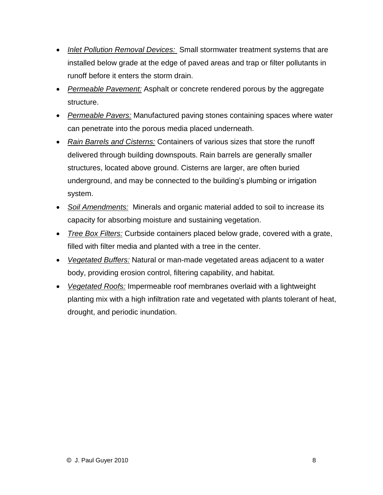- Inlet Pollution Removal Devices: Small stormwater treatment systems that are installed below grade at the edge of paved areas and trap or filter pollutants in runoff before it enters the storm drain.
- Permeable Pavement: Asphalt or concrete rendered porous by the aggregate structure.
- Permeable Pavers: Manufactured paving stones containing spaces where water can penetrate into the porous media placed underneath.
- Rain Barrels and Cisterns: Containers of various sizes that store the runoff delivered through building downspouts. Rain barrels are generally smaller structures, located above ground. Cisterns are larger, are often buried underground, and may be connected to the building's plumbing or irrigation system.
- Soil Amendments: Minerals and organic material added to soil to increase its capacity for absorbing moisture and sustaining vegetation.
- Tree Box Filters: Curbside containers placed below grade, covered with a grate, filled with filter media and planted with <sup>a</sup> tree in the center.
- Vegetated Buffers: Natural or man-made vegetated areas adjacent to a water body, providing erosion control, filtering capability, and habitat.
- Vegetated Roofs: Impermeable roof membranes overlaid with a lightweight planting mix with a high infiltration rate and vegetated with plants tolerant of heat, drought, and periodic inundation.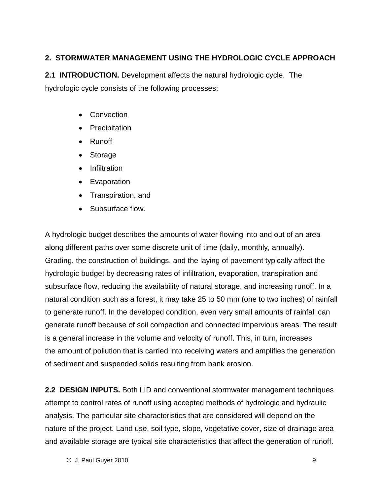#### **2. STORMWATER MANAGEMENT USING THE HYDROLOGIC CYCLE APPROACH**

**2.1 INTRODUCTION.** Development affects the natural hydrologic cycle. The hydrologic cycle consists of the following processes:

- **Convection**
- Precipitation
- Runoff
- Storage  $\bullet$
- Infiltration  $\bullet$
- Evaporation
- Transpiration, and
- Subsurface flow.

A hydrologic budget describes the amounts of water flowing into and out of an area along different paths over some discrete unit of time (daily, monthly, annually). Grading, the construction of buildings, and the laying of pavement typically affect the hydrologic budget by decreasing rates of infiltration, evaporation, transpiration and subsurface flow, reducing the availability of natural storage, and increasing runoff. In a natural condition such as a forest, it may take 25 to 50 mm (one to two inches) of rainfall to generate runoff. In the developed condition, even very small amounts of rainfall can generate runoff because of soil compaction and connected impervious areas. The result is a general increase in the volume and velocity of runoff. This, in turn, increases the amount of pollution that is carried into receiving waters and amplifies the generation of sediment and suspended solids resulting from bankerosion.

and available storage are typical site characteristics that affect the generation of runoff. **2.2 DESIGN INPUTS.** Both LID and conventional stormwater management techniques attempt to control rates of runoff using accepted methods of hydrologic and hydraulic analysis. The particular site characteristics that are considered will depend on the nature of the project. Land use, soil type, slope, vegetative cover, size of drainage area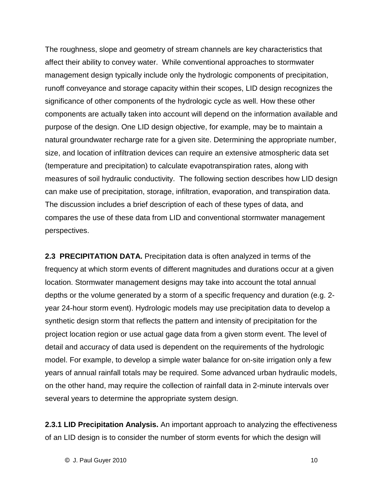The roughness, slope and geometry of stream channels are key characteristics that affect their ability to convey water. While conventional approaches to stormwater management design typically include only the hydrologic components of precipitation, runoff conveyance and storage capacity within their scopes, LID design recognizes the significance of other components of the hydrologic cycle as well. How these other components are actually taken into account will depend on the information available and purpose of the design. One LID design objective, for example, may be to maintain a natural groundwater recharge rate for a given site. Determining the appropriate number, size, and location of infiltration devices can require an extensive atmospheric data set (temperature and precipitation) to calculate evapotranspiration rates, along with measures of soil hydraulic conductivity. The following section describes how LID design can make use of precipitation, storage, infiltration, evaporation, and transpiration data. The discussion includes a brief description of each of these types of data, and compares the use of these data from LID and conventional stormwater management perspectives.

**2.3 PRECIPITATION DATA.** Precipitation data is often analyzed in terms of the frequency at which storm events of different magnitudes and durations occur at a given location. Stormwater management designs may take into account the total annual depths or the volume generated by a storm of a specific frequency and duration (e.g. 2year 24-hour storm event). Hydrologic models may use precipitation data to develop a synthetic design storm that reflects the pattern and intensity of precipitation for the project location region or use actual gage data from a given storm event. The level of detail and accuracy of data used is dependent on the requirements of the hydrologic model. For example, to develop a simple water balance for on-site irrigation only a few years of annual rainfall totals may be required. Some advanced urban hydraulic models, on the other hand, may require the collection of rainfall data in 2-minute intervals over several years to determine the appropriate system design.

**2.3.1 LID Precipitation Analysis.** An important approach to analyzing the effectiveness of an LID design is to consider the number of storm events for which the design will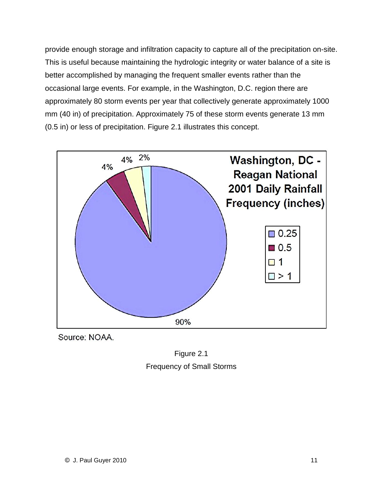provide enough storage and infiltration capacity to capture all of the precipitation on-site. This is useful because maintaining the hydrologic integrity or water balance of a site is better accomplished by managing the frequent smaller events rather than the occasional large events. For example, in the Washington, D.C. region there are approximately 80 storm events per year that collectively generate approximately 1000 mm (40 in) of precipitation. Approximately 75 of these storm events generate 13 mm (0.5 in) or less of precipitation. Figure 2.1 illustrates this concept.



Source: NOAA.

Figure 2.1 Frequency of Small Storms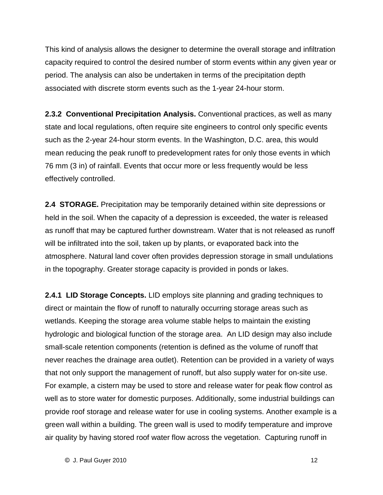This kind of analysis allows the designer to determine the overall storage and infiltration capacity required to control the desired number of storm events within any given year or period. The analysis can also be undertaken in terms of the precipitation depth associated with discrete storm events such as the 1-year 24-hour storm.

**2.3.2 Conventional Precipitation Analysis.** Conventional practices, as well as many state and local regulations, often require site engineers to control only specific events such as the 2-year 24-hour storm events. In the Washington, D.C. area, this would mean reducing the peak runoff to predevelopment rates for only those events in which 76 mm (3 in) of rainfall. Events that occur more or less frequently would be less effectively controlled.

**2.4 STORAGE.** Precipitation may be temporarily detained within site depressions or held in the soil. When the capacity of a depression is exceeded, the water is released as runoff that may be captured further downstream. Water that is notreleased as runoff will be infiltrated into the soil, taken up by plants, or evaporated back into the atmosphere. Natural land cover often provides depression storage in small undulations in the topography. Greater storage capacity is provided in ponds or lakes.

**2.4.1 LID Storage Concepts.** LID employs site planning and grading techniques to direct or maintain the flow of runoff to naturally occurring storage areas such as wetlands. Keeping the storage area volume stable helps to maintain the existing hydrologic and biological function of the storage area. An LID design may also include small-scale retention components (retention is defined as the volume of runoff that never reaches the drainage area outlet). Retention can be provided in a variety of ways that not only support the management of runoff, but also supply water for on-site use. For example, a cistern may be used to store and release water for peak flow control as well as to store water for domestic purposes. Additionally, some industrial buildings can provide roof storage and release water for use in cooling systems. Another example is a green wall within a building. The green wall is used to modify temperature and improve air quality by having stored roof water flow across the vegetation. Capturing runoff in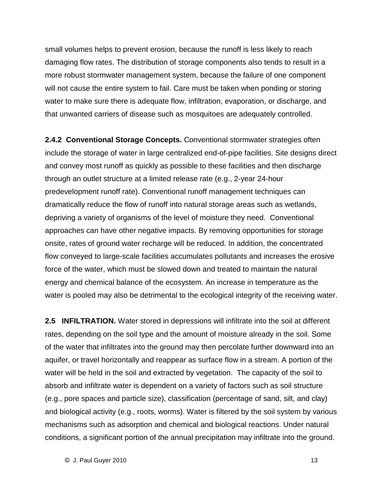small volumes helps to prevent erosion, because the runoff is less likely to reach damaging flow rates. The distribution of storage components also tends to result in a more robust stormwater management system, because the failure of one component will not cause the entire system to fail. Care must be taken when ponding or storing water to make sure there is adequate flow, infiltration, evaporation, or discharge, and that unwanted carriers of disease such as mosquitoes are adequately controlled.

**2.4.2 Conventional Storage Concepts.** Conventional stormwater strategies often include the storage of water in large centralized end-of-pipe facilities. Site designs direct and convey most runoff as quickly as possible to these facilities and then discharge through an outlet structure at a limited release rate (e.g., 2-year 24-hour predevelopment runoff rate). Conventional runoff management techniques can dramatically reduce the flow of runoff into natural storage areas such as wetlands, depriving a variety of organisms of the level of moisture they need. Conventional approaches can have other negative impacts. By removing opportunities for storage onsite, rates of ground water recharge will be reduced. In addition, the concentrated flow conveyed to large-scale facilities accumulates pollutants and increases the erosive force of the water, which must be slowed down and treated to maintain the natural energy and chemical balance of the ecosystem. An increase in temperature as the water is pooled may also be detrimental to the ecological integrity of the receiving water.

**2.5 INFILTRATION.** Water stored in depressions will infiltrate into the soil at different rates, depending on the soil type and the amount of moisture already in the soil. Some of the water that infiltrates into the ground may then percolate further downward into an aquifer, or travel horizontally and reappear as surface flow in a stream. A portion of the water will be held in the soil and extracted by vegetation. The capacity of the soil to absorb and infiltrate water is dependent on a variety of factors such as soil structure (e.g., pore spaces and particle size), classification (percentage of sand, silt, and clay) and biological activity (e.g., roots, worms). Water is filtered by the soil system by various mechanisms such as adsorption and chemical and biological reactions. Under natural conditions, a significant portion of the annual precipitation may infiltrate into the ground.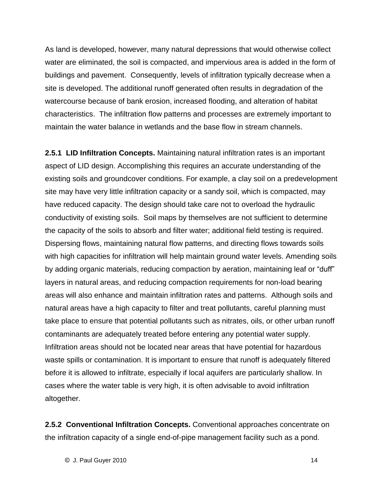As land is developed, however, many natural depressions that would otherwise collect water are eliminated, the soil is compacted, and impervious area is added in the form of buildings and pavement. Consequently, levels of infiltration typically decrease when a site is developed. The additional runoff generated often results in degradation of the watercourse because of bank erosion, increased flooding, and alteration of habitat characteristics. The infiltration flow patterns and processes are extremely important to maintain the water balance in wetlands and the base flow in stream channels.

**2.5.1 LID Infiltration Concepts.** Maintaining natural infiltration rates is an important aspect of LID design. Accomplishing this requires an accurate understanding of the existing soils and groundcover conditions. For example, a clay soil on a predevelopment site may have very little infiltration capacity or a sandy soil, which is compacted, may have reduced capacity. The design should take care not to overload the hydraulic conductivity of existing soils. Soil maps by themselves are not sufficient to determine the capacity of the soils to absorb and filter water; additional field testing is required. Dispersing flows, maintaining natural flow patterns, and directing flows towards soils with high capacities for infiltration will help maintain ground water levels. Amending soils bioperently meminiming natural memipaterine, and an eemig neme comme constructions.<br>with high capacities for infiltration will help maintain ground water levels. Amending soils<br>by adding organic materials, reducing compact layers in natural areas, and reducing compaction requirements for non-load bearing areas will also enhance and maintain infiltration rates and patterns. Although soils and natural areas have a high capacity to filter and treat pollutants, careful planning must take place to ensure that potential pollutants such as nitrates, oils, or other urban runoff contaminants are adequately treated before entering any potential water supply. Infiltration areas should not be located near areas that have potential for hazardous waste spills or contamination. It is important to ensure that runoff is adequately filtered before it is allowed to infiltrate, especially if local aquifers are particularly shallow. In cases where the water table is very high, it is often advisable to avoid infiltration altogether.

**2.5.2 Conventional Infiltration Concepts.** Conventional approaches concentrate on the infiltration capacity of a single end-of-pipe management facility such as a pond.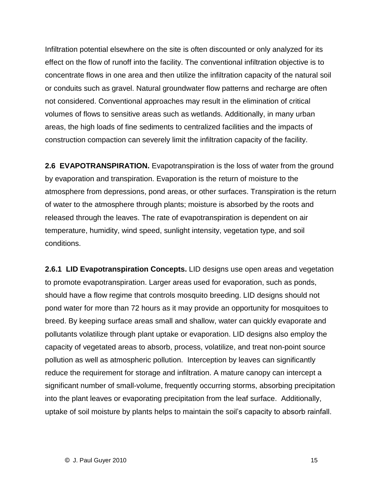Infiltration potential elsewhere on the site is often discounted or only analyzed for its effect on the flow of runoff into the facility. The conventional infiltration objective is to concentrate flows in one area and then utilize the infiltration capacity of the natural soil or conduits such as gravel. Natural groundwater flow patterns and recharge are often not considered. Conventional approaches may result in the elimination of critical volumes of flows to sensitive areas such as wetlands. Additionally, in many urban areas, the high loads of fine sediments to centralized facilities and the impacts of construction compaction can severely limit the infiltration capacity of the facility.

**2.6 EVAPOTRANSPIRATION.** Evapotranspiration is the loss of water from the ground by evaporation and transpiration. Evaporation is the return of moisture to the atmosphere from depressions, pond areas, or other surfaces. Transpiration is the return of water to the atmosphere through plants; moisture is absorbed by the roots and released through the leaves. The rate of evapotranspiration is dependent on air temperature, humidity, wind speed, sunlight intensity, vegetation type, and soil conditions.

**2.6.1 LID Evapotranspiration Concepts.** LID designs use open areas and vegetation to promote evapotranspiration. Larger areas used for evaporation, such as ponds, should have a flow regime that controls mosquito breeding. LID designs should not pond water for more than 72 hours as it may provide an opportunity for mosquitoes to breed. By keeping surface areas small and shallow, water can quickly evaporate and pollutants volatilize through plant uptake or evaporation. LID designs also employ the capacity of vegetated areas to absorb, process, volatilize, and treat non-point source pollution as well as atmospheric pollution. Interception by leaves can significantly reduce the requirement for storage and infiltration. A mature canopy can intercept a significant number of small-volume, frequently occurring storms, absorbing precipitation into the plant leaves or evaporating precipitation from the leaf surface. Additionally, uptake of soil moisture by plants helps to many securing such the sensing presipment.<br>into the plant leaves or evaporating precipitation from the leaf surface. Additionally,<br>uptake of soil moisture by plants helps to maint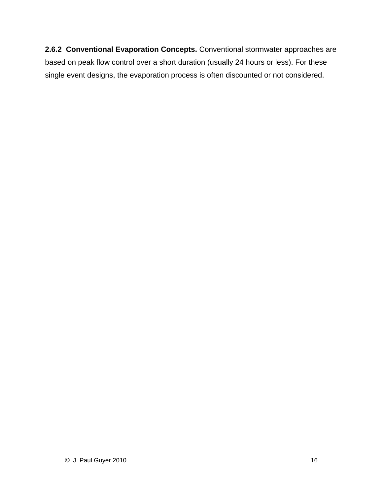**2.6.2 Conventional Evaporation Concepts.** Conventional stormwater approaches are based on peak flow control over a short duration (usually 24 hours or less). For these single event designs, the evaporation process is often discounted or not considered.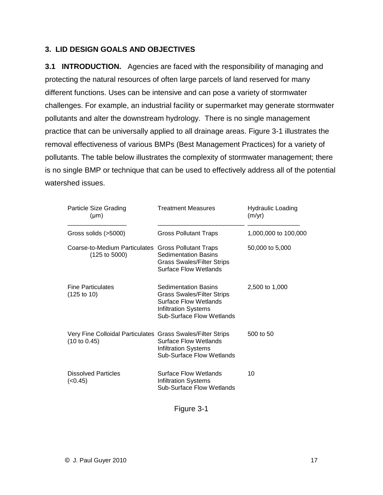#### **3. LID DESIGN GOALS AND OBJECTIVES**

**3.1 INTRODUCTION.** Agencies are faced with the responsibility of managing and protecting the natural resources of often large parcels of land reserved for many different functions. Uses can be intensive and can pose a variety of stormwater challenges. For example, an industrial facility or supermarket may generate stormwater pollutants and alter the downstream hydrology. There is no single management practice that can be universally applied to all drainage areas. Figure 3-1 illustrates the removal effectiveness of various BMPs (Best Management Practices) for a variety of pollutants. The table below illustrates the complexity of stormwater management; there is no single BMP or technique that can be used to effectively address all of the potential watershed issues.

| Particle Size Grading<br>$(\mu m)$                                          | <b>Treatment Measures</b>                                                                                                                             | <b>Hydraulic Loading</b><br>(m/yr) |  |
|-----------------------------------------------------------------------------|-------------------------------------------------------------------------------------------------------------------------------------------------------|------------------------------------|--|
| Gross solids (>5000)                                                        | <b>Gross Pollutant Traps</b>                                                                                                                          | 1,000,000 to 100,000               |  |
| Coarse-to-Medium Particulates<br>$(125 \text{ to } 5000)$                   | <b>Gross Pollutant Traps</b><br><b>Sedimentation Basins</b><br><b>Grass Swales/Filter Strips</b><br>Surface Flow Wetlands                             | 50,000 to 5,000                    |  |
| <b>Fine Particulates</b><br>(125 to 10)                                     | <b>Sedimentation Basins</b><br><b>Grass Swales/Filter Strips</b><br>Surface Flow Wetlands<br><b>Infiltration Systems</b><br>Sub-Surface Flow Wetlands | 2,500 to 1,000                     |  |
| Very Fine Colloidal Particulates Grass Swales/Filter Strips<br>(10 to 0.45) | <b>Surface Flow Wetlands</b><br><b>Infiltration Systems</b><br>Sub-Surface Flow Wetlands                                                              | 500 to 50                          |  |
| <b>Dissolved Particles</b><br>(<0.45)                                       | Surface Flow Wetlands<br><b>Infiltration Systems</b><br>Sub-Surface Flow Wetlands                                                                     | 10                                 |  |

Figure 3-1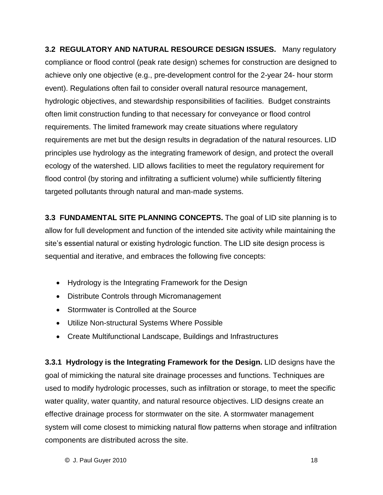**3.2 REGULATORY AND NATURAL RESOURCE DESIGN ISSUES.** Many regulatory compliance or flood control (peak rate design) schemes for construction are designed to achieve only one objective (e.g., pre-development control for the 2-year 24- hour storm event). Regulations often fail to consider overall natural resource management, hydrologic objectives, and stewardship responsibilities of facilities. Budget constraints often limitconstruction funding to that necessary for conveyance or flood control requirements. The limited framework may create situations where regulatory requirements are met but the design results in degradation of the natural resources. LID principles use hydrology as the integrating framework of design, and protect the overall ecology of the watershed. LID allows facilities to meet the regulatory requirement for flood control (by storing and infiltrating a sufficient volume) while sufficiently filtering targeted pollutants through natural and man-made systems.

**3.3 FUNDAMENTAL SITE PLANNING CONCEPTS.** The goal of LID site planning is to allow for full development and function of the intended site activity while maintaining the site's essential natural or existing hydrologic function. The LID site design process is sequential and iterative, and embraces the following five concepts:

- Hydrology is the Integrating Framework for the Design
- Distribute Controls through Micromanagement
- Stormwater is Controlled at the Source
- Utilize Non-structural Systems Where Possible
- Create Multifunctional Landscape, Buildings and Infrastructures

©components are distributed across the site.**3.3.1 Hydrology is the Integrating Framework for the Design.** LID designs have the goal of mimicking the natural site drainage processes and functions. Techniques are used to modify hydrologic processes, such as infiltration or storage, to meet the specific water quality, water quantity, and natural resource objectives. LID designs create an effective drainage process for stormwater on the site. A stormwater management system will come closest to mimicking natural flow patterns when storage and infiltration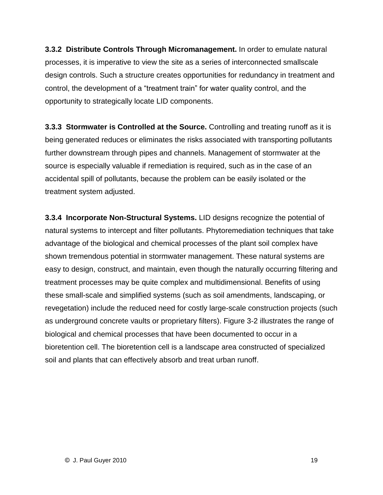**3.3.2 Distribute Controls Through Micromanagement.** In order to emulate natural processes, it is imperative to view the site as a series of interconnected smallscale design controls. Such a structure creates opportunities for redundancy in treatment and precesses, the imperative to them the site as a conservative entrostical emanesing<br>design controls. Such a structure creates opportunities for redundancy in treatment and<br>control, the development of a "treatment train" for opportunity to strategically locate LID components.

**3.3.3 Stormwater is Controlled at the Source.** Controlling and treating runoff as it is being generated reduces or eliminates the risks associated with transporting pollutants further downstream through pipes and channels. Management of stormwater at the source is especially valuable if remediation is required, such as in the case of an accidental spill of pollutants, because the problem can be easily isolated or the treatment system adjusted.

**3.3.4 Incorporate Non-Structural Systems.** LID designs recognize the potential of natural systems to intercept and filter pollutants. Phytoremediation techniques that take advantage of the biological and chemical processes of the plant soil complex have shown tremendous potential in stormwater management. These natural systems are easy to design, construct, and maintain, even though the naturally occurring filtering and treatment processes may be quite complex and multidimensional. Benefits of using these small-scale and simplified systems (such as soil amendments, landscaping, or revegetation) include the reduced need for costly large-scale construction projects (such as underground concrete vaults or proprietary filters). Figure 3-2 illustrates the range of biological and chemical processes that have been documented to occur in a bioretention cell.The bioretention cell is a landscape area constructed of specialized soil and plants that can effectively absorb and treat urban runoff.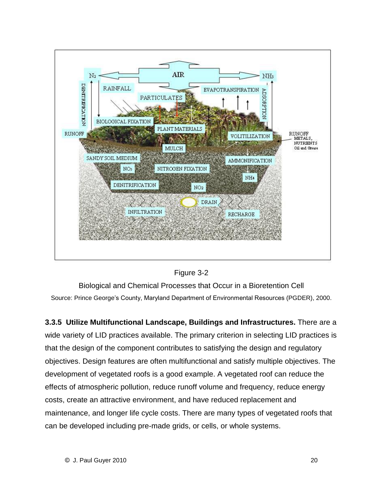



Biological and Chemical Processes that Occur in a Bioretention Cell Source: Prince George's County, Maryland Department of Environmental Resources (PGDER), 2000.

**3.3.5 Utilize Multifunctional Landscape, Buildings and Infrastructures.** There are a wide variety of LID practices available. The primary criterion in selecting LID practices is that the design of the component contributes to satisfying the design and regulatory objectives. Design features are often multifunctional and satisfy multiple objectives. The development of vegetated roofs is a good example. A vegetated roof can reduce the effects of atmospheric pollution, reduce runoff volume and frequency, reduce energy costs, create an attractive environment, and have reduced replacement and maintenance, and longer life cycle costs. There are many types of vegetated roofs that can be developed including pre-made grids, or cells, or whole systems.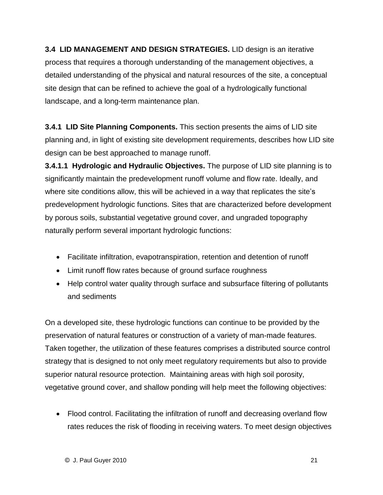**3.4 LID MANAGEMENT AND DESIGN STRATEGIES.** LID design is an iterative process that requires a thorough understanding of the management objectives, a detailed understanding of the physical and natural resources of the site, a conceptual site design that can be refined to achieve the goal of a hydrologically functional landscape, and a long-term maintenance plan.

**3.4.1 LID Site Planning Components.** This section presents the aims of LID site planning and, in light of existing site development requirements, describes how LID site design can be best approached to manage runoff.

**3.4.1.1 Hydrologic and Hydraulic Objectives.** The purpose of LID site planning is to significantly maintain the predevelopment runoff volume and flow rate. Ideally, and where sity arrows are site consumed to suppose the part of the part of paraming to the<br>significantly maintain the predevelopment runoff volume and flow rate. Ideally, and<br>where site conditions allow, this will be achieved predevelopment hydrologic functions. Sites that are characterized before development by porous soils, substantial vegetative ground cover, and ungraded topography naturally perform several important hydrologic functions:

- Facilitate infiltration, evapotranspiration, retention and detention of runoff
- Limit runoff flow rates because of ground surface roughness
- Help control water quality through surface and subsurface filtering of pollutants and sediments

On a developed site, these hydrologic functions can continue to be provided by the preservation of natural features or construction of a variety of man-made features. Taken together, the utilization of these features comprises a distributed source control strategy that is designed to not only meet regulatory requirements but also to provide superior natural resource protection. Maintaining areas with high soil porosity, vegetative ground cover, and shallow ponding will help meet the following objectives:

 Flood control. Facilitating the infiltration of runoff and decreasing overland flow rates reduces the risk of flooding in receiving waters. To meet design objectives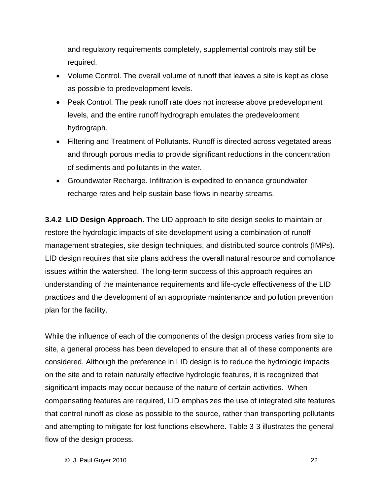and regulatory requirements completely, supplemental controls may still be required.

- Volume Control. The overall volume of runoff that leaves a site is kept as close as possible to predevelopment levels.
- Peak Control. The peak runoff rate does not increase above predevelopment levels, and the entire runoff hydrograph emulates the predevelopment hydrograph.
- Filtering and Treatment of Pollutants. Runoff is directed across vegetated areas and through porous media to provide significant reductions in the concentration of sediments and pollutants in the water.
- Groundwater Recharge. Infiltration is expedited to enhance groundwater recharge rates and help sustain base flows in nearby streams.

**3.4.2 LID Design Approach.** The LID approach to site design seeks to maintain or restore the hydrologic impacts of site development using a combination of runoff management strategies, site design techniques, and distributed source controls (IMPs). LID design requires that site plans address the overall natural resource and compliance issues within the watershed. The long-term success of this approach requires an understanding of the maintenance requirements and life-cycle effectiveness of the LID practices and the development of an appropriate maintenance and pollution prevention plan for the facility.

flow of the design process. While the influence of each of the components of the design process varies from site to site, a general process has been developed to ensure that all of these components are considered. Although the preference in LID design is to reduce the hydrologic impacts on the site and to retain naturally effective hydrologic features, it is recognized that significant impacts may occur because of the nature of certain activities. When compensating features are required, LID emphasizes the use of integrated site features that control runoff as close as possible to the source, rather than transporting pollutants and attempting to mitigate for lost functions elsewhere. Table 3-3 illustrates the general

 $\circledcirc$  J. Paul Guyer 2010  $\circledcirc$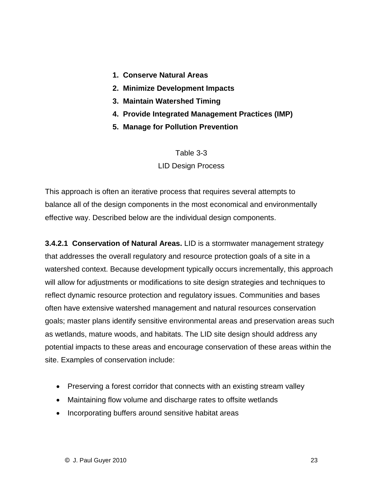- **1. Conserve Natural Areas**
- **2. Minimize Development Impacts**
- **3. Maintain Watershed Timing**
- **4. Provide Integrated Management Practices (IMP)**
- **5. Manage for Pollution Prevention**

#### Table 3-3 LID Design Process

This approach is often an iterative process that requires several attempts to balance all of the design components in the most economical and environmentally effective way. Described below are the individual design components.

**3.4.2.1 Conservation of Natural Areas.** LID is a stormwater management strategy that addresses the overall regulatory and resource protection goals of a site in a watershed context. Because development typically occurs incrementally, this approach will allow for adjustments or modifications to site design strategies and techniques to reflect dynamic resource protection and regulatory issues. Communities and bases often have extensive watershed management and natural resources conservation goals; master plans identify sensitive environmental areas and preservation areas such as wetlands, mature woods, and habitats. The LID site design should address any potential impacts to these areas and encourage conservation of these areas within the site. Examples of conservation include:

- Preserving a forest corridor that connects with an existing stream valley
- Maintaining flow volume and discharge rates to offsite wetlands
- Incorporating buffers around sensitive habitat areas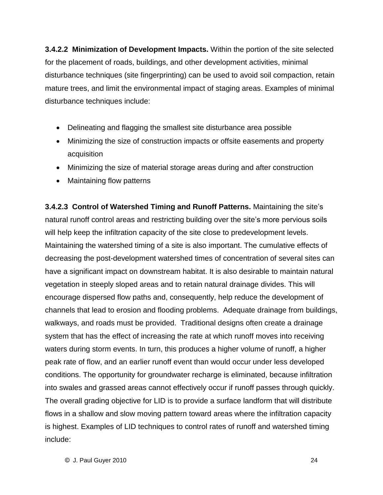**3.4.2.2 Minimization of Development Impacts.** Within the portion of the site selected for the placement of roads, buildings, and other development activities, minimal disturbance techniques (site fingerprinting) can be used to avoid soil compaction, retain mature trees, and limit the environmental impact of staging areas. Examples of minimal disturbance techniques include:

- Delineating and flagging the smallest site disturbance area possible
- Minimizing the size of construction impacts or offsite easements and property acquisition
- Minimizing the size of material storage areas during and after construction
- Maintaining flow patterns

©include:**3.4.2.3 Control of Watershed Timing and Runoff Patterns.** Maintaining the siteís natural runoff control areas and restricting building over the site's more pervious soils will help keep the infiltration capacity of the site close to predevelopment levels. Maintaining the watershed timing of a site is also important. The cumulative effects of decreasing the post-development watershed times of concentration of several sites can have a significant impact on downstream habitat. It is also desirable to maintain natural vegetation in steeply sloped areas and to retain natural drainage divides. This will encourage dispersed flow paths and, consequently, help reduce the development of channels that lead to erosion and flooding problems. Adequate drainage from buildings, walkways, and roads must be provided. Traditional designs often create a drainage system that has the effect of increasing the rate at which runoff moves into receiving waters during storm events. In turn, this produces a higher volume of runoff, a higher peak rate of flow, and an earlier runoff event than would occur under less developed conditions. The opportunity for groundwater recharge is eliminated, because infiltration into swales and grassed areas cannot effectively occur if runoff passes through quickly. The overall grading objective for LID is to provide a surface landform that will distribute flows in a shallow and slow moving pattern toward areas where the infiltration capacity is highest. Examples of LID techniques to control rates of runoff and watershed timing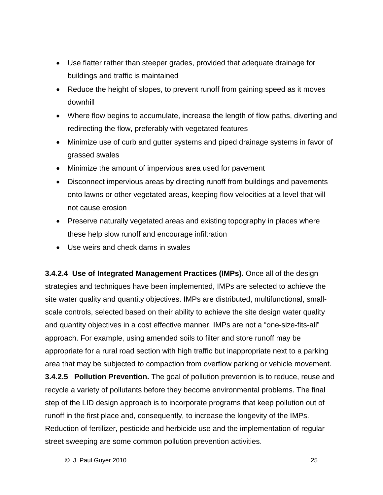- Use flatter rather than steeper grades, provided that adequate drainage for buildings and traffic is maintained
- Reduce the height of slopes, to prevent runoff from gaining speed as it moves downhill
- Where flow begins to accumulate, increase the length of flow paths, diverting and redirecting the flow, preferably with vegetated features
- Minimize use of curb and gutter systems and piped drainage systems in favor of grassed swales
- Minimize the amount of impervious area used for pavement
- Disconnect impervious areas by directing runoff from buildings and pavements onto lawns or other vegetated areas, keeping flow velocities at a level that will not cause erosion
- Preserve naturally vegetated areas and existing topography in places where these help slow runoff and encourage infiltration
- Use weirs and check dams in swales

street sweeping are some common pollution prevention activities. **3.4.2.4 Use of Integrated Management Practices (IMPs).** Once all of the design strategies and techniques have been implemented, IMPs are selected to achieve the site water quality and quantity objectives. IMPs are distributed, multifunctional, small scale controls, selected based on their ability to achieve the site design water quality and mater quanty and quantity disposition into and alternatively manifesterial, critality<br>scale controls, selected based on their ability to achieve the site design water quality<br>and quantity objectives in a cost effective approach. For example, using amended soils to filter and store runoff may be appropriate for a rural road section with high traffic but inappropriate next to a parking area that may be subjected to compaction from overflow parking or vehicle movement. **3.4.2.5 Pollution Prevention.** The goal of pollution prevention is to reduce, reuse and recycle a variety of pollutants before they become environmental problems. The final step of the LID design approach is to incorporate programs that keep pollution out of runoff in the first place and, consequently, to increase the longevity of the IMPs. Reduction of fertilizer, pesticide and herbicide use and the implementation of regular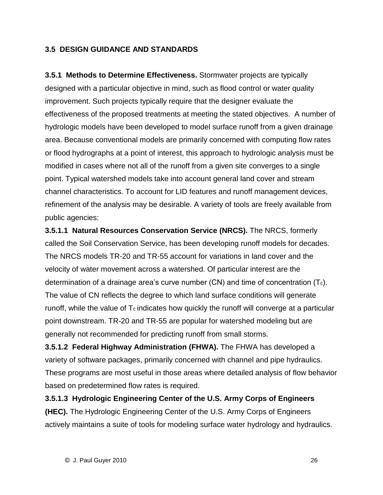#### **3.5 DESIGN GUIDANCE AND STANDARDS**

**3.5.1 Methods to Determine Effectiveness.** Stormwater projects are typically designed with a particular objective in mind, such as flood control or water quality improvement. Such projects typically require that the designer evaluate the effectiveness of the proposed treatments at meeting the stated objectives. A number of hydrologic models have been developed to model surface runoff from a given drainage area. Because conventional models are primarily concerned with computing flow rates or flood hydrographs at a point of interest, this approach to hydrologic analysis must be modified in cases where not all of the runoff from a given site converges to a single point. Typical watershed models take into account general land cover and stream channel characteristics. To account for LID features and runoff management devices, refinement of the analysis may be desirable. A variety of tools are freely available from public agencies:

**3.5.1.1 Natural Resources Conservation Service (NRCS).** The NRCS, formerly called the Soil Conservation Service, has been developing runoff models for decades. The NRCS models TR-20 and TR-55 account for variations in land cover and the velocity of water movement across a watershed. Of particular interest are the determination of a drainage area's curve number  $(CN)$  and time of concentration  $(T_c)$ . The value of CN reflects the degree to which land surface conditions will generate runoff, while the value of  $T_c$  indicates how quickly the runoff will converge at a particular point downstream. TR-20 and TR-55 are popular for watershed modeling but are generally not recommended for predicting runoff from small storms.

**3.5.1.2 Federal Highway Administration (FHWA).** The FHWA has developed a variety of software packages, primarily concerned with channel and pipe hydraulics. These programs are most useful in those areas where detailed analysis of flow behavior based on predetermined flow rates is required.

**3.5.1.3 Hydrologic Engineering Center of the U.S. Army Corps of Engineers (HEC).** The Hydrologic Engineering Center of the U.S. Army Corps of Engineers actively maintains a suite of tools for modeling surface water hydrology and hydraulics.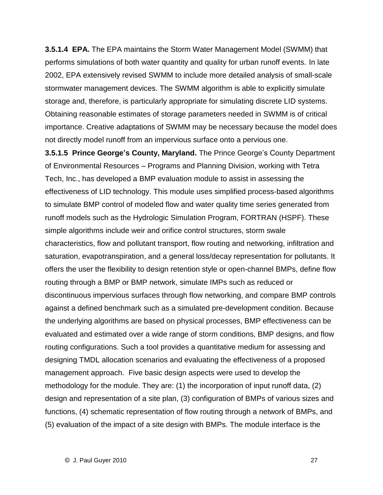**3.5.1.4 EPA.** The EPA maintains the Storm Water Management Model (SWMM) that performs simulations of both water quantity and quality for urban runoff events. In late 2002, EPA extensively revised SWMM to include more detailed analysis of small-scale stormwater management devices. The SWMM algorithm is able to explicitly simulate storage and, therefore, is particularly appropriate for simulating discrete LID systems. Obtaining reasonable estimates of storage parameters needed in SWMM is of critical importance. Creative adaptations of SWMM may be necessary because the model does not directly model runoff from an impervious surface onto a pervious one.

**3.5.1.5 Prince Georgeí<sup>s</sup> County, Maryland.** The Prince Georgeís County Department of Environmental Resources – Programs and Planning Division, working with Tetra Tech, Inc., has developed a BMP evaluation module to assist in assessing the effectiveness of LID technology. This module uses simplified process-based algorithms to simulate BMP control of modeled flow and water quality time series generated from runoff models such as the Hydrologic Simulation Program, FORTRAN (HSPF). These simple algorithms include weir and orifice control structures, storm swale characteristics, flow and pollutant transport, flow routing and networking, infiltration and saturation, evapotranspiration, and a general loss/decay representation for pollutants. It offers the user the flexibility to design retention style or open-channel BMPs, define flow routing through a BMP or BMP network, simulate IMPs such as reduced or discontinuous impervious surfaces through flow networking, and compare BMP controls against a defined benchmark such as a simulated pre-development condition. Because the underlying algorithms are based on physical processes, BMP effectiveness can be evaluated and estimated over a wide range of storm conditions, BMP designs, and flow routing configurations. Such a tool provides a quantitative medium for assessing and designing TMDL allocation scenarios and evaluating the effectiveness of a proposed management approach. Five basic design aspects were used to develop the methodology for the module. They are: (1) the incorporation of input runoff data, (2) design and representation of a site plan, (3) configuration of BMPs of various sizes and functions, (4) schematic representation of flow routing through a network of BMPs, and (5) evaluation of the impact of a site design with BMPs. The module interface is the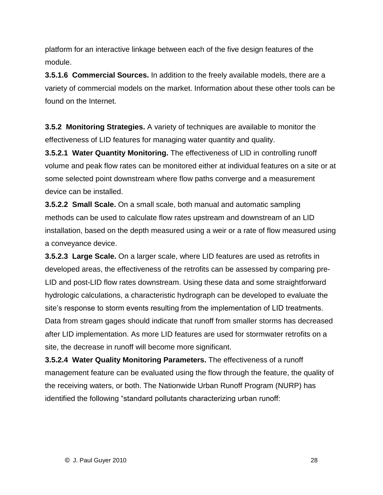platform for an interactive linkage between each of the five design features of the module.

**3.5.1.6 Commercial Sources.** In addition to the freely available models, there are a variety of commercial models on the market. Information about these other tools can be found on the Internet.

**3.5.2 Monitoring Strategies.** A variety of techniques are available to monitor the effectiveness of LID features for managing water quantity and quality.

**3.5.2.1 Water Quantity Monitoring.** The effectiveness of LID in controlling runoff volume and peak flow rates can be monitored either at individual features on a site or at some selected point downstream where flow paths converge and a measurement device can be installed.

**3.5.2.2 Small Scale.** On a small scale, both manual and automatic sampling methods can be used to calculate flow rates upstream and downstream of an LID installation, based on the depth measured using a weir or a rate of flow measured using a conveyance device.

**3.5.2.3 Large Scale.** On a larger scale, where LID features are used as retrofits in developed areas, the effectiveness of the retrofits can be assessed by comparing pre- LID and post-LID flow rates downstream. Using these data and some straightforward hydrologic calculations, a characteristic hydrograph can be developed to evaluate the site the pact and narrows administering from the state mate only energine in a<br>hydrologic calculations, a characteristic hydrograph can be developed to evaluate the<br>site's response to storm events resulting from the implem Data from stream gages should indicate that runoff from smaller storms has decreased after LID implementation. As more LID features are used for stormwater retrofits on a site, the decrease in runoff will become more significant.

**3.5.2.4 Water Quality Monitoring Parameters.** The effectiveness of a runoff management feature can be evaluated using the flow through the feature, the quality of the receiving waters, or both. The Nationwide Urban Runoff Program (NURP) has identified the following "standard pollutants characterizing urban runoff: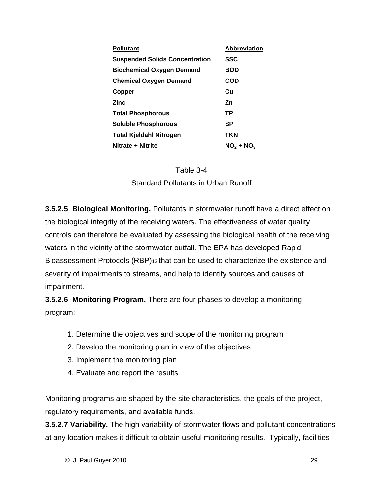| <b>Pollutant</b>                      | <b>Abbreviation</b> |
|---------------------------------------|---------------------|
| <b>Suspended Solids Concentration</b> | SSC                 |
| <b>Biochemical Oxygen Demand</b>      | <b>BOD</b>          |
| <b>Chemical Oxygen Demand</b>         | COD                 |
| Copper                                | Cu                  |
| <b>Zinc</b>                           | Zn.                 |
| <b>Total Phosphorous</b>              | ТP                  |
| <b>Soluble Phosphorous</b>            | SP                  |
| Total Kjeldahl Nitrogen               | TKN                 |
| Nitrate + Nitrite                     | $NO2 + NO3$         |



**3.5.2.5 Biological Monitoring.** Pollutants in stormwater runoff have a direct effect on the biological integrity of the receiving waters. The effectiveness of water quality controls can therefore be evaluated by assessing the biological health of the receiving waters in the vicinity of the stormwater outfall. The EPA has developed Rapid Bioassessment Protocols (RBP)<sup>13</sup> that can be used to characterize the existence and severity of impairments to streams, and help to identify sources and causes of impairment.

**3.5.2.6 Monitoring Program.** There are four phases to develop a monitoring program:

- 1. Determine the objectives and scope of the monitoring program
- 2. Develop the monitoring plan in view of the objectives
- 3. Implement the monitoring plan
- 4. Evaluate and report the results

Monitoring programs are shaped by the site characteristics, the goals of the project, regulatory requirements, and available funds.

**3.5.2.7 Variability.** The high variability of stormwater flows and pollutant concentrations at any location makes it difficult to obtain useful monitoring results. Typically, facilities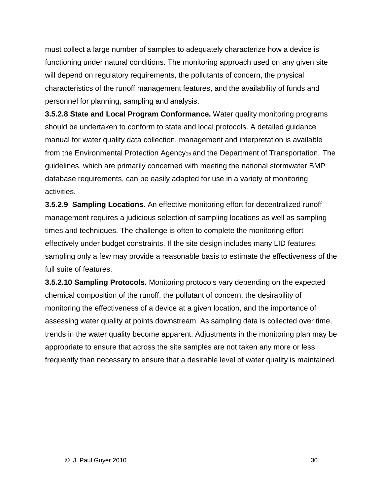must collect a large number of samples to adequately characterize how a device is functioning under natural conditions. The monitoring approach used on any given site will depend on regulatory requirements, the pollutants of concern, the physical characteristics of the runoff management features, and the availability of funds and personnel for planning, sampling and analysis.

**3.5.2.8 State and Local Program Conformance.** Water quality monitoring programs should be undertaken to conform to state and local protocols. A detailed guidance manual for water quality data collection, management and interpretation is available from the Environmental Protection Agency<sub>15</sub> and the Department of Transportation. The guidelines, which are primarily concerned with meeting the national stormwater BMP database requirements, can be easily adapted for use in a variety of monitoring activities.

**3.5.2.9 Sampling Locations.** An effective monitoring effort for decentralized runoff management requires a judicious selection of sampling locations as well as sampling times and techniques. The challenge is often to complete the monitoring effort effectively under budget constraints. If the site design includes many LID features, sampling only a few may provide a reasonable basis to estimate the effectiveness of the full suite of features.

**3.5.2.10 Sampling Protocols.** Monitoring protocols vary depending on the expected chemical composition of the runoff, the pollutant of concern, the desirability of monitoring the effectiveness of a device at a given location, and the importance of assessing water quality at points downstream. As sampling data is collected over time, trends in the water quality become apparent. Adjustments in the monitoring plan may be appropriate to ensure that across the site samples are not taken any more or less frequently than necessary to ensure that a desirable level of water quality is maintained.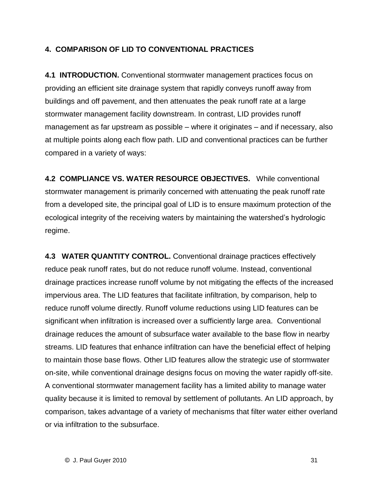#### **4. COMPARISON OF LID TO CONVENTIONAL PRACTICES**

**4.1 INTRODUCTION.** Conventional stormwater management practices focus on providing an efficient site drainage system that rapidly conveys runoff away from buildings and off pavement, and then attenuates the peak runoff rate at a large stormwater management facility downstream. In contrast, LID provides runoff management as far upstream as possible  $-$  where it originates  $-$  and if necessary, also at multiple points along each flow path. LID and conventional practices can be further compared in a variety of ways:

**4.2 COMPLIANCE VS. WATER RESOURCE OBJECTIVES.** While conventional stormwater management is primarily concerned with attenuating the peak runoff rate from a developed site, the principal goal of LID is to ensure maximum protection of the ecommeter management to primain, concerned that atternating the poatt ratter rate<br>from a developed site, the principal goal of LID is to ensure maximum protection of the<br>ecological integrity of the receiving waters by main regime.

**4.3 WATER QUANTITY CONTROL.** Conventional drainage practices effectively reduce peak runoff rates, but do not reduce runoff volume. Instead, conventional drainage practices increase runoff volume by not mitigating the effects of the increased impervious area. The LID features that facilitate infiltration, by comparison, help to reduce runoff volume directly. Runoff volume reductions using LID features can be significant when infiltration is increased over a sufficiently large area. Conventional drainage reduces the amount of subsurface water available to the base flow in nearby streams. LID features that enhance infiltration can have the beneficial effect of helping to maintain those base flows. Other LID features allow the strategic use of stormwater on-site, while conventional drainage designs focus on moving the water rapidly off-site. A conventional stormwater management facility has a limited ability to manage water quality because it is limited to removal by settlement of pollutants. An LID approach, by comparison, takes advantage of a variety of mechanisms that filter water either overland or via infiltration to the subsurface.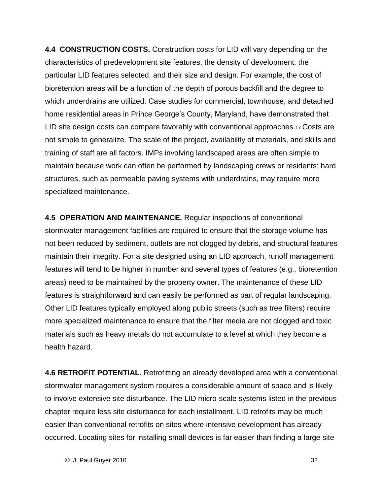**4.4 CONSTRUCTION COSTS.** Construction costs for LID will vary depending on the characteristics of predevelopment site features, the density of development, the particular LID features selected, and their size and design. For example, the cost of bioretention areas will be a function of the depth of porous backfill and the degree to which underdrains are utilized. Case studies for commercial, townhouse, and detached home residential areas in Prince George's County, Maryland, have demonstrated that LID site design costs can compare favorably with conventional approaches.<sup>17</sup> Costs are not simple to generalize. The scale of the project, availability of materials, and skills and training of staff are all factors. IMPs involving landscaped areas are often simple to maintain because work can often be performed by landscaping crews or residents; hard structures, such as permeable paving systems with underdrains, may require more specialized maintenance.

**4.5 OPERATION AND MAINTENANCE.** Regular inspections of conventional stormwater management facilities are required to ensure that the storage volume has not been reduced by sediment, outlets are not clogged by debris, and structural features maintain their integrity. For a site designed using an LID approach, runoff management features will tend to be higher in number and several types of features (e.g., bioretention areas) need to be maintained by the property owner. The maintenance of these LID features is straightforward and can easily be performed as part of regular landscaping. Other LID features typically employed along public streets (such as tree filters) require more specialized maintenance to ensure that the filter media are not clogged and toxic materials such as heavy metals do not accumulate to a level at which they become a health hazard.

**4.6 RETROFIT POTENTIAL.** Retrofitting an already developed area with a conventional stormwater management system requires a considerable amount of space and is likely to involve extensive site disturbance. The LID micro-scale systems listed in the previous chapter require less site disturbance for each installment. LID retrofits may be much easier than conventional retrofits on sites where intensive development has already occurred. Locating sites for installing small devices is far easier than finding a large site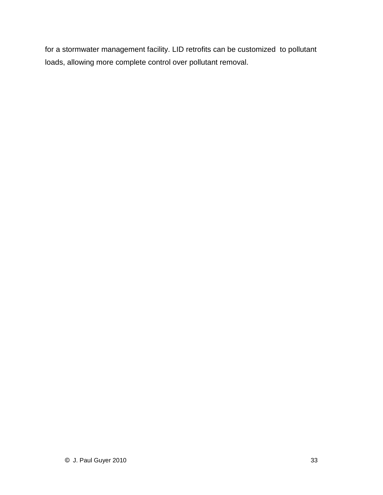for a stormwater management facility. LID retrofits can be customized to pollutant loads, allowing more complete control over pollutant removal.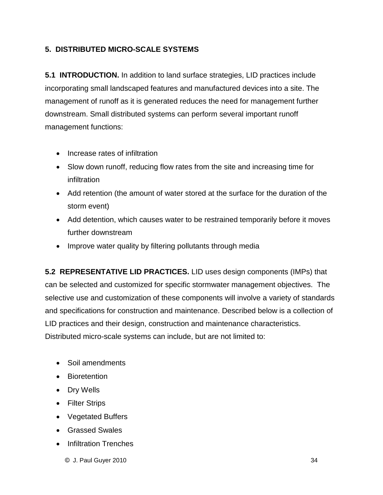#### **5. DISTRIBUTED MICRO-SCALE SYSTEMS**

**5.1 INTRODUCTION.** In addition to land surface strategies, LID practices include incorporating small landscaped features and manufactured devices into a site. The management of runoff as it is generated reduces the need for management further downstream. Small distributed systems can perform several important runoff management functions:

- Increase rates of infiltration
- Slow down runoff, reducing flow rates from the site and increasing time for infiltration
- Add retention (the amount of water stored at the surface for the duration of the storm event)
- Add detention, which causes water to be restrained temporarily before it moves further downstream
- Improve water quality by filtering pollutants through media

**5.2 REPRESENTATIVE LID PRACTICES.** LID uses design components (IMPs) that can be selected and customized for specific stormwater management objectives. The selective use and customization of these components will involve a variety of standards and specifications for construction and maintenance. Described below is a collection of LID practices and their design, construction and maintenance characteristics. Distributed micro-scale systems can include, but are not limited to:

- Soil amendments
- **Bioretention**
- Dry Wells
- Filter Strips
- Vegetated Buffers
- **Grassed Swales**
- **Infiltration Trenches** 
	- $\circledcirc$  J. Paul Guyer 2010  $\circledcirc$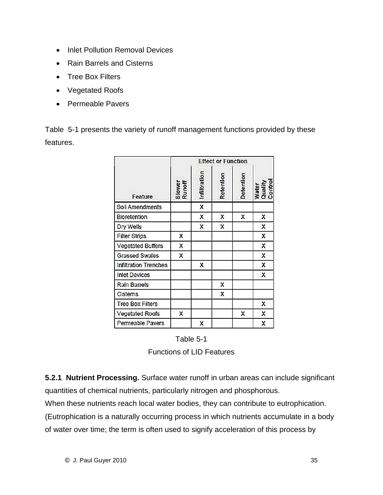- Inlet Pollution Removal Devices
- Rain Barrels and Cisterns
- **Tree Box Filters**
- Vegetated Roofs
- Permeable Pavers

Table 5-1 presents the variety of runoff management functions provided by these features.

| Feature                  | <b>Effect or Function</b> |                           |           |           |                             |
|--------------------------|---------------------------|---------------------------|-----------|-----------|-----------------------------|
|                          | Slower<br>Runoff          | Infiltration              | Retention | Detention | Water<br>Quality<br>Control |
| Soil Amendments          |                           | $\boldsymbol{\mathsf{x}}$ |           |           |                             |
| <b>Bioretention</b>      |                           | X                         | X         | X         | X                           |
| Dry Wells                |                           | X                         | X         |           | X                           |
| <b>Filter Strips</b>     | X                         |                           |           |           | X                           |
| <b>Vegetated Buffers</b> | X                         |                           |           |           | $\boldsymbol{\mathsf{x}}$   |
| <b>Grassed Swales</b>    | X                         |                           |           |           | X                           |
| Infiltration Trenches    |                           | X                         |           |           | X                           |
| <b>Inlet Devices</b>     |                           |                           |           |           | $\mathsf{x}$                |
| <b>Rain Barrels</b>      |                           |                           | x         |           |                             |
| Cistems                  |                           |                           | X         |           |                             |
| <b>Tree Box Filters</b>  |                           |                           |           |           | X                           |
| Vegetated Roofs          | x                         |                           |           | x         | Χ                           |
| Permeable Pavers         |                           | X                         |           |           | X                           |

Table 5-1 Functions of LID Features

**5.2.1 Nutrient Processing.** Surface water runoff in urban areas can include significant quantities of chemical nutrients, particularly nitrogen and phosphorous.

When these nutrients reach local water bodies, they can contribute to eutrophication.

(Eutrophication is a naturally occurring process in which nutrients accumulate in a body of water over time; the term is often used to signify acceleration of this process by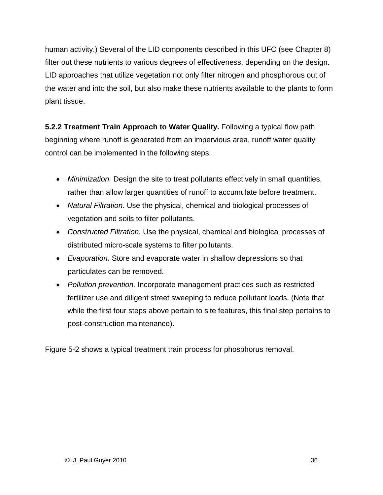human activity.) Several of the LID components described in this UFC (see Chapter 8) filter out these nutrients to various degrees of effectiveness, depending on the design. LID approaches that utilize vegetation not only filter nitrogen and phosphorous out of the water and into the soil, but also make these nutrients available to the plants to form plant tissue.

**5.2.2 Treatment Train Approach to Water Quality.** Following a typical flow path beginning where runoff is generated from an impervious area, runoff water quality control can be implemented in the following steps:

- Minimization. Design the site to treat pollutants effectively in small quantities, rather than allow larger quantities of runoff to accumulate before treatment.
- Natural Filtration. Use the physical, chemical and biological processes of vegetation and soils to filter pollutants.
- Constructed Filtration. Use the physical, chemical and biological processes of distributed micro-scale systems to filter pollutants.
- Evaporation. Store and evaporate water in shallow depressions so that particulates can be removed.
- Pollution prevention. Incorporate management practices such as restricted fertilizer use and diligent street sweeping to reduce pollutant loads. (Note that while the first four steps above pertain to site features, this final step pertains to post-construction maintenance).

Figure 5-2 shows a typical treatment train process for phosphorus removal.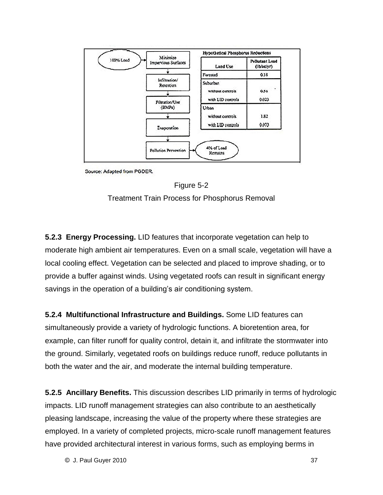

Source: Adapted from PGDER.



Treatment Train Process for Phosphorus Removal

**5.2.3 Energy Processing.** LID features that incorporate vegetation can help to moderate high ambient air temperatures. Even on a small scale, vegetation will have a local cooling effect. Vegetation can be selected and placed to improve shading, or to provide a buffer against winds. Using vegetated roofs can result in significant energy savings in the operation of a building vegetated roofs can result in s<br>savings in the operation of a building's air conditioning system.

**5.2.4 Multifunctional Infrastructure and Buildings.** Some LID features can simultaneously provide a variety of hydrologic functions. A bioretention area, for example, can filter runoff for quality control, detain it, and infiltrate the stormwater into the ground. Similarly, vegetated roofs on buildings reduce runoff, reduce pollutants in both the water and the air, and moderate the internal building temperature.

have provided architectural interest in various forms, such as employing berms in **5.2.5 Ancillary Benefits.** This discussion describes LID primarily in terms of hydrologic impacts. LID runoff management strategies can also contribute to an aesthetically pleasing landscape, increasing the value of the property where these strategies are employed. In a variety of completed projects, micro-scale runoff management features

 $\bullet$  J. Paul Guyer 2010  $\bullet$  37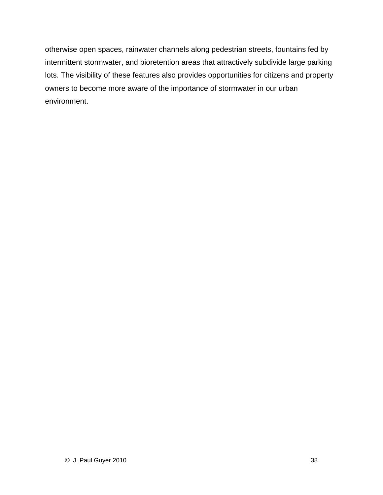otherwise open spaces, rainwater channels along pedestrian streets, fountains fed by intermittent stormwater, and bioretention areas that attractively subdivide large parking lots. The visibility of these features also provides opportunities for citizens and property owners to become more aware of the importance of stormwater in our urban environment.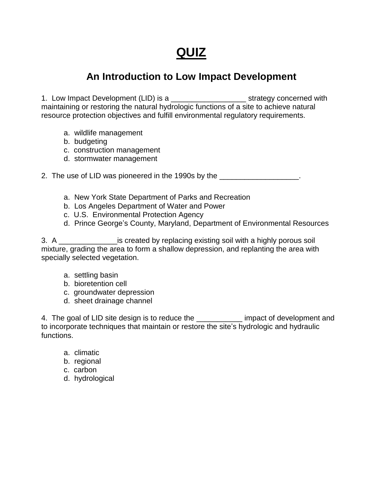## **QUIZ**

#### **An Introduction to Low Impact Development**

1. Low Impact Development (LID) is a \_\_\_\_\_\_\_\_\_\_\_\_\_\_\_\_\_\_\_\_\_\_\_\_ strategy concerned with maintaining or restoring the natural hydrologic functions of a site to achieve natural resource protection objectives and fulfill environmental regulatory requirements.

- a. wildlife management
- b. budgeting
- c. construction management
- d. stormwater management

2. The use of LID was pioneered in the 1990s by the  $\sim$ 

- a. New York State Department of Parks and Recreation
- b. Los Angeles Department of Water and Power
- c. U.S. Environmental Protection Agency
- d. Prince George's County, Maryland, Department of Environmental Resources

3. A \_\_\_\_\_\_\_\_\_\_\_\_\_\_is created by replacing existing soil with a highly porous soil mixture, grading the area to form a shallow depression, and replanting the area with specially selected vegetation.

- a. settling basin
- b. bioretention cell
- c. groundwater depression
- d. sheet drainage channel

4. The goal of LID site design is to reduce the \_\_\_\_\_\_\_\_\_\_\_ impact of development and to the incorporate techniques the interest.<br>4. The goal of LID site design is to reduce the \_\_\_\_\_\_\_\_\_\_\_\_ impact of development and<br>to incorporate techniques that maintain or restore the site's hydrologic and hydraulic functions.

- a. climatic
- b. regional
- c. carbon
- d. hydrological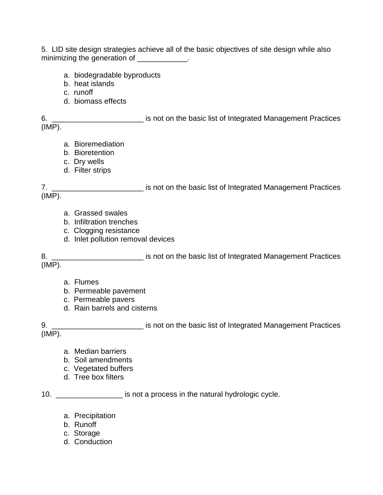5. LID site design strategies achieve all of the basic objectives of site design while also minimizing the generation of \_\_\_\_\_\_\_\_\_\_\_\_.

- a. biodegradable byproducts
- b. heat islands
- c. runoff
- d. biomass effects

6. \_\_\_\_\_\_\_\_\_\_\_\_\_\_\_\_\_\_\_\_\_\_ is noton the basic list of Integrated Management Practices (IMP).

- a. Bioremediation
- b. Bioretention
- c. Dry wells
- d. Filter strips

7. \_\_\_\_\_\_\_\_\_\_\_\_\_\_\_\_\_\_\_\_\_\_\_\_\_\_\_\_ is not on the basic list of Integrated Management Practices  $(IMP)$ .

- a. Grassed swales
- b. Infiltration trenches
- c. Clogging resistance
- d. Inlet pollution removal devices

8. \_\_\_\_\_\_\_\_\_\_\_\_\_\_\_\_\_\_\_\_\_\_ is noton the basic list of Integrated Management Practices (IMP).

- a. Flumes
- b. Permeable pavement
- c. Permeable pavers
- d. Rain barrels and cisterns

9. \_\_\_\_\_\_\_\_\_\_\_\_\_\_\_\_\_\_\_\_\_\_\_\_\_\_\_\_ is not on the basic list of Integrated Management Practices (IMP).

- a. Median barriers
- b. Soil amendments
- c. Vegetated buffers
- d. Tree box filters

10. \_\_\_\_\_\_\_\_\_\_\_\_\_\_\_\_ is not a process in the natural hydrologic cycle.

- a. Precipitation
- b. Runoff
- c. Storage
- d. Conduction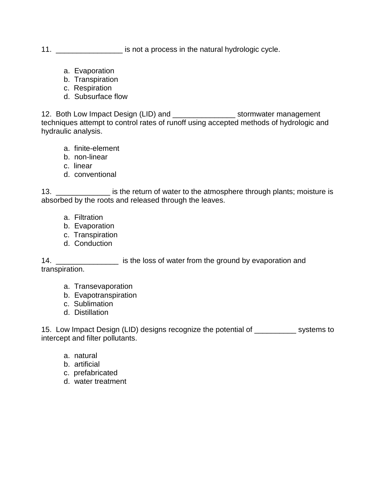#### 11. \_\_\_\_\_\_\_\_\_\_\_\_\_\_\_\_\_\_\_ is not a process in the natural hydrologic cycle.

- a. Evaporation
- b. Transpiration
- c. Respiration
- d. Subsurface flow

12. Both Low Impact Design (LID) and \_\_\_\_\_\_\_\_\_\_\_\_\_\_\_\_\_\_\_ stormwater management techniques attempt to control rates of runoff using accepted methods of hydrologic and hydraulic analysis.

- a. finite-element
- b. non-linear
- c. linear
- d. conventional

13. \_\_\_\_\_\_\_\_\_\_\_\_\_\_\_ is the return of water to the atmosphere through plants; moisture is absorbed by the roots and released through the leaves.

- a. Filtration
- b. Evaporation
- c. Transpiration
- d. Conduction

14. \_\_\_\_\_\_\_\_\_\_\_\_\_\_\_\_\_\_\_\_\_\_\_ is the loss of water from the ground by evaporation and transpiration.

- a. Transevaporation
- b. Evapotranspiration
- c. Sublimation
- d. Distillation

15. Low Impact Design (LID) designs recognize the potential of \_\_\_\_\_\_\_\_\_\_ systems to intercept and filter pollutants.

- a. natural
- b. artificial
- c. prefabricated
- d. water treatment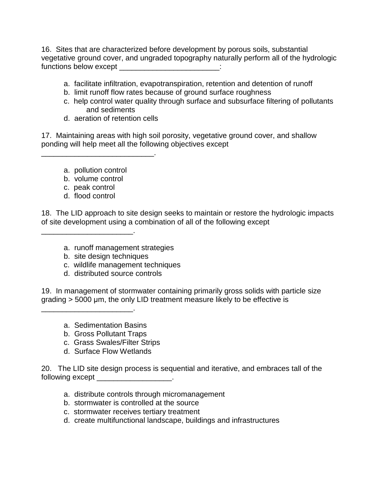16. Sites that are characterized before development by porous soils, substantial vegetative ground cover, and ungraded topography naturally perform all of the hydrologic functions below except \_\_\_\_\_\_\_\_\_\_\_\_\_\_\_\_\_\_\_\_\_\_:

- a. facilitate infiltration, evapotranspiration, retention and detention of runoff
- b. limit runoff flow rates because of ground surface roughness
- c. help control water quality through surface and subsurface filtering of pollutants and sediments
- d. aeration of retention cells

\_\_\_\_\_\_\_\_\_\_\_\_\_\_\_\_\_\_\_\_\_\_\_\_\_\_\_.

17. Maintaining areas with high soil porosity, vegetative ground cover, and shallow ponding will help meet all the following objectives except

- a. pollution control
- b. volume control

\_\_\_\_\_\_\_\_\_\_\_\_\_\_\_\_\_\_\_\_\_\_.

- c. peak control
- d. flood control

18. The LID approach to site design seeks to maintain or restore the hydrologic impacts of site development using a combination of all of the following except

- a. runoff management strategies
- b. site design techniques
- c. wildlife management techniques
- d. distributed source controls

19. In management of stormwater containing primarily gross solids with particle size grading > 5000 μm, the other crim or containing primarily gross solids with particle siz<br>grading > 5000 μm, the only LID treatment measure likely to be effective is

a. Sedimentation Basins

\_\_\_\_\_\_\_\_\_\_\_\_\_\_\_\_\_\_\_\_\_\_.

- b. Gross Pollutant Traps
- c. Grass Swales/Filter Strips
- d. Surface Flow Wetlands

20. The LID site design process is sequential and iterative, and embraces tall of the following except \_\_\_\_\_\_\_\_\_\_\_\_\_\_\_\_\_\_\_.

- a. distribute controls through micromanagement
- b. stormwater is controlled at the source
- c. stormwater receives tertiary treatment
- d. create multifunctional landscape, buildings and infrastructures